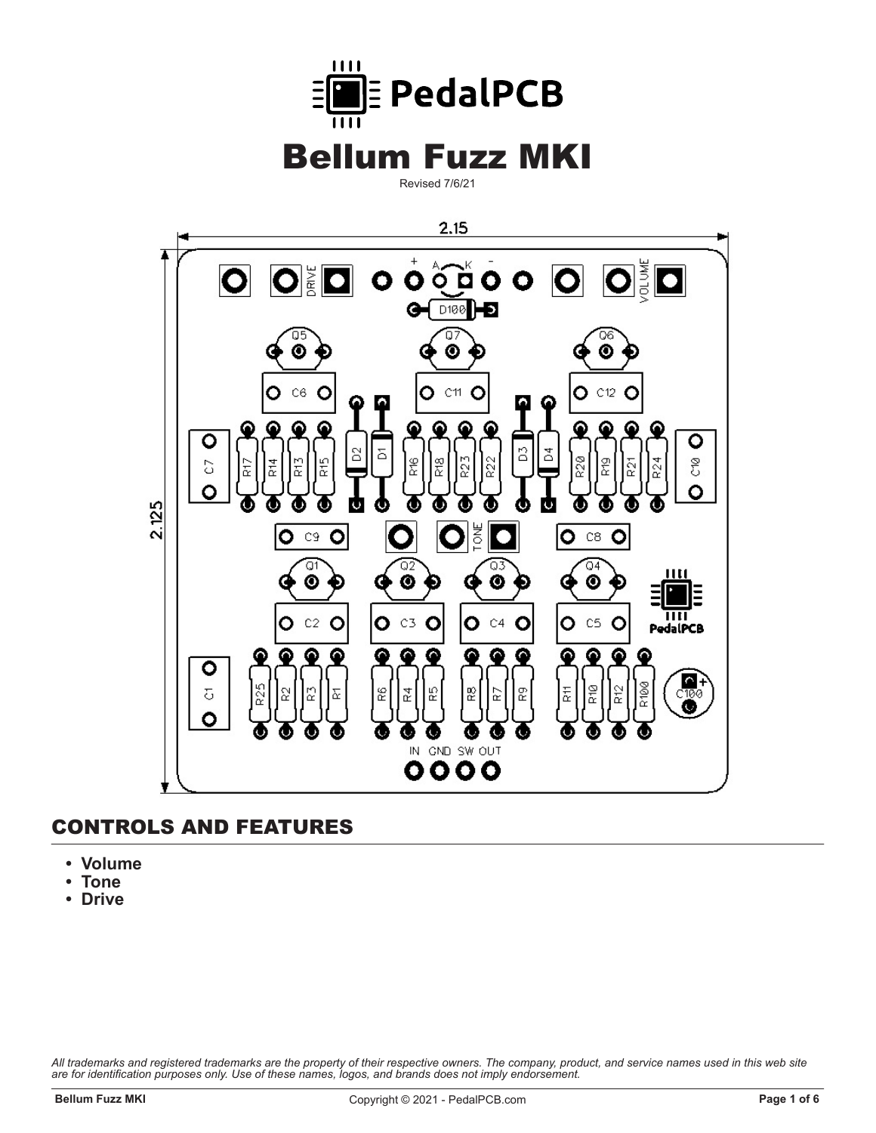

Revised 7/6/21



#### **CONTROLS AND FEATURES**

- **Volume**
- **Tone**
- **Drive**

*All trademarks and registered trademarks are the property of their respective owners. The company, product, and service names used in this web site are for identification purposes only. Use of these names, logos, and brands does not imply endorsement.*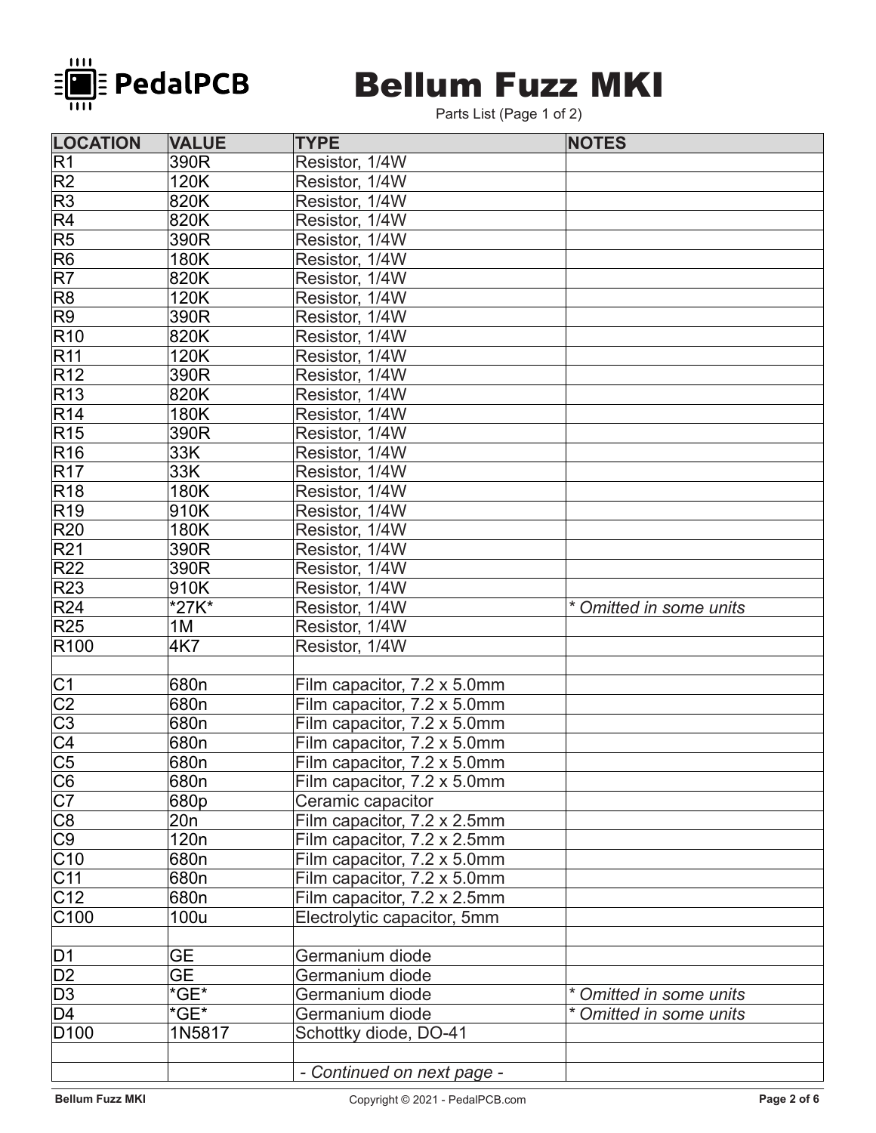

## **Bellum Fuzz MKI**

Parts List (Page 1 of 2)

| <b>LOCATION</b>                                                       | <b>VALUE</b>             | <b>TYPE</b>                 | <b>NOTES</b>            |
|-----------------------------------------------------------------------|--------------------------|-----------------------------|-------------------------|
| R1                                                                    | 390R                     | Resistor, 1/4W              |                         |
| R2                                                                    | 120K                     | Resistor, 1/4W              |                         |
| R3                                                                    | 820K                     | Resistor, 1/4W              |                         |
| $\overline{\mathsf{R}4}$                                              | 820K                     | Resistor, 1/4W              |                         |
| R5                                                                    | 390R                     | Resistor, 1/4W              |                         |
| R6                                                                    | 180K                     | Resistor, 1/4W              |                         |
| $\overline{\mathsf{R7}}$                                              | 820K                     | Resistor, 1/4W              |                         |
| R8                                                                    | 120K                     | Resistor, 1/4W              |                         |
| R9                                                                    | 390R                     | Resistor, 1/4W              |                         |
| R10                                                                   | 820K                     | Resistor, 1/4W              |                         |
| R11                                                                   | 120K                     | Resistor, 1/4W              |                         |
| R12                                                                   | 390R                     | Resistor, 1/4W              |                         |
| R13                                                                   | 820K                     | Resistor, 1/4W              |                         |
| R14                                                                   | 180K                     | Resistor, 1/4W              |                         |
| R15                                                                   | 390R                     | Resistor, 1/4W              |                         |
| R16                                                                   | 33K                      | Resistor, 1/4W              |                         |
| R17                                                                   | 33K                      | Resistor, 1/4W              |                         |
| R18                                                                   | 180K                     | Resistor, 1/4W              |                         |
| R19                                                                   | 910K                     | Resistor, 1/4W              |                         |
| <b>R20</b>                                                            | 180K                     | Resistor, 1/4W              |                         |
| R21                                                                   | 390R                     | Resistor, 1/4W              |                         |
| R22                                                                   | 390R                     | Resistor, 1/4W              |                         |
| R23                                                                   | 910K                     | Resistor, 1/4W              |                         |
| R24                                                                   | *27K*                    | Resistor, 1/4W              | * Omitted in some units |
| R25                                                                   | 1M                       | Resistor, 1/4W              |                         |
| R <sub>100</sub>                                                      | 4K7                      | Resistor, 1/4W              |                         |
|                                                                       |                          |                             |                         |
| C <sub>1</sub>                                                        | 680 <sub>n</sub>         | Film capacitor, 7.2 x 5.0mm |                         |
| $\overline{C2}$                                                       | 680n                     | Film capacitor, 7.2 x 5.0mm |                         |
|                                                                       | 680n                     | Film capacitor, 7.2 x 5.0mm |                         |
| $\frac{\overline{C3}}{\overline{C4}}$                                 | 680n                     | Film capacitor, 7.2 x 5.0mm |                         |
|                                                                       | 680n                     | Film capacitor, 7.2 x 5.0mm |                         |
|                                                                       | 680n                     | Film capacitor, 7.2 x 5.0mm |                         |
| $\frac{\overline{CG}}{\overline{CG}}$ $\overline{CG}$ $\overline{CG}$ | 680p                     | Ceramic capacitor           |                         |
|                                                                       | 20n                      | Film capacitor, 7.2 x 2.5mm |                         |
|                                                                       | 120 <sub>n</sub>         | Film capacitor, 7.2 x 2.5mm |                         |
| $\overline{\text{C}10}$                                               | 680n                     | Film capacitor, 7.2 x 5.0mm |                         |
| $\overline{\text{C}}$ 11                                              | 680n                     | Film capacitor, 7.2 x 5.0mm |                         |
| C12                                                                   | 680n                     | Film capacitor, 7.2 x 2.5mm |                         |
| C100                                                                  | 100u                     | Electrolytic capacitor, 5mm |                         |
|                                                                       |                          |                             |                         |
| D1                                                                    | <b>GE</b>                | Germanium diode             |                         |
| $\overline{D2}$                                                       | $\overline{\mathsf{GE}}$ | Germanium diode             |                         |
| $\overline{D3}$                                                       | $*GE*$                   | Germanium diode             | * Omitted in some units |
| D4                                                                    | $*GE*$                   | Germanium diode             | * Omitted in some units |
| D <sub>100</sub>                                                      | 1N5817                   | Schottky diode, DO-41       |                         |
|                                                                       |                          |                             |                         |
|                                                                       |                          | - Continued on next page -  |                         |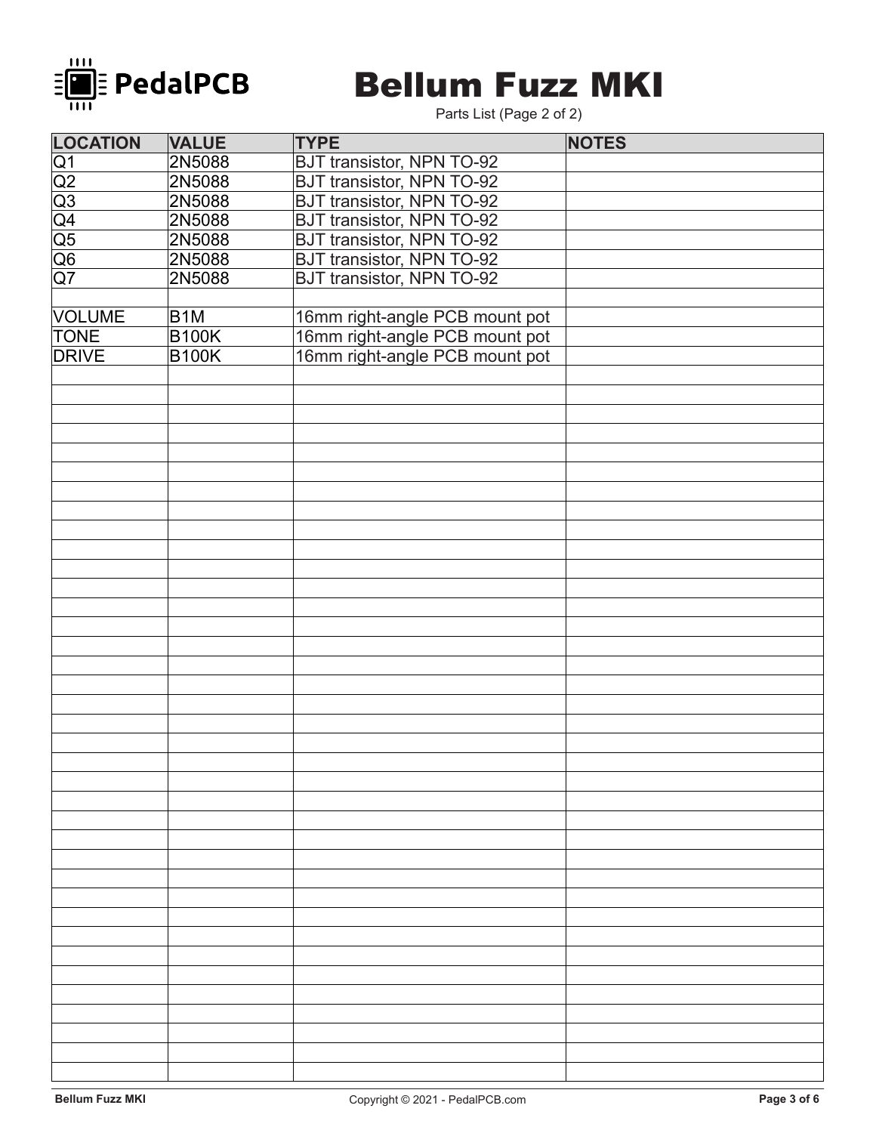

## **Bellum Fuzz MKI**

Parts List (Page 2 of 2)

| <b>LOCATION</b>                                                                                                                   | <b>VALUE</b>     | <b>TYPE</b>                      | <b>NOTES</b> |
|-----------------------------------------------------------------------------------------------------------------------------------|------------------|----------------------------------|--------------|
|                                                                                                                                   | 2N5088           | BJT transistor, NPN TO-92        |              |
|                                                                                                                                   | 2N5088           | BJT transistor, NPN TO-92        |              |
|                                                                                                                                   | 2N5088           | <b>BJT transistor, NPN TO-92</b> |              |
|                                                                                                                                   | 2N5088           | <b>BJT transistor, NPN TO-92</b> |              |
|                                                                                                                                   | 2N5088           | <b>BJT transistor, NPN TO-92</b> |              |
| $\frac{\overline{Q1}}{\overline{Q2}}$ $\frac{\overline{Q2}}{\overline{Q3}}$ $\frac{\overline{Q4}}{\overline{Q5}}$ $\overline{Q7}$ | 2N5088           | <b>BJT transistor, NPN TO-92</b> |              |
|                                                                                                                                   | 2N5088           | <b>BJT transistor, NPN TO-92</b> |              |
|                                                                                                                                   |                  |                                  |              |
| <b>VOLUME</b>                                                                                                                     | B <sub>1</sub> M | 16mm right-angle PCB mount pot   |              |
| <b>TONE</b>                                                                                                                       | <b>B100K</b>     | 16mm right-angle PCB mount pot   |              |
| <b>DRIVE</b>                                                                                                                      | <b>B100K</b>     | 16mm right-angle PCB mount pot   |              |
|                                                                                                                                   |                  |                                  |              |
|                                                                                                                                   |                  |                                  |              |
|                                                                                                                                   |                  |                                  |              |
|                                                                                                                                   |                  |                                  |              |
|                                                                                                                                   |                  |                                  |              |
|                                                                                                                                   |                  |                                  |              |
|                                                                                                                                   |                  |                                  |              |
|                                                                                                                                   |                  |                                  |              |
|                                                                                                                                   |                  |                                  |              |
|                                                                                                                                   |                  |                                  |              |
|                                                                                                                                   |                  |                                  |              |
|                                                                                                                                   |                  |                                  |              |
|                                                                                                                                   |                  |                                  |              |
|                                                                                                                                   |                  |                                  |              |
|                                                                                                                                   |                  |                                  |              |
|                                                                                                                                   |                  |                                  |              |
|                                                                                                                                   |                  |                                  |              |
|                                                                                                                                   |                  |                                  |              |
|                                                                                                                                   |                  |                                  |              |
|                                                                                                                                   |                  |                                  |              |
|                                                                                                                                   |                  |                                  |              |
|                                                                                                                                   |                  |                                  |              |
|                                                                                                                                   |                  |                                  |              |
|                                                                                                                                   |                  |                                  |              |
|                                                                                                                                   |                  |                                  |              |
|                                                                                                                                   |                  |                                  |              |
|                                                                                                                                   |                  |                                  |              |
|                                                                                                                                   |                  |                                  |              |
|                                                                                                                                   |                  |                                  |              |
|                                                                                                                                   |                  |                                  |              |
|                                                                                                                                   |                  |                                  |              |
|                                                                                                                                   |                  |                                  |              |
|                                                                                                                                   |                  |                                  |              |
|                                                                                                                                   |                  |                                  |              |
|                                                                                                                                   |                  |                                  |              |
|                                                                                                                                   |                  |                                  |              |
|                                                                                                                                   |                  |                                  |              |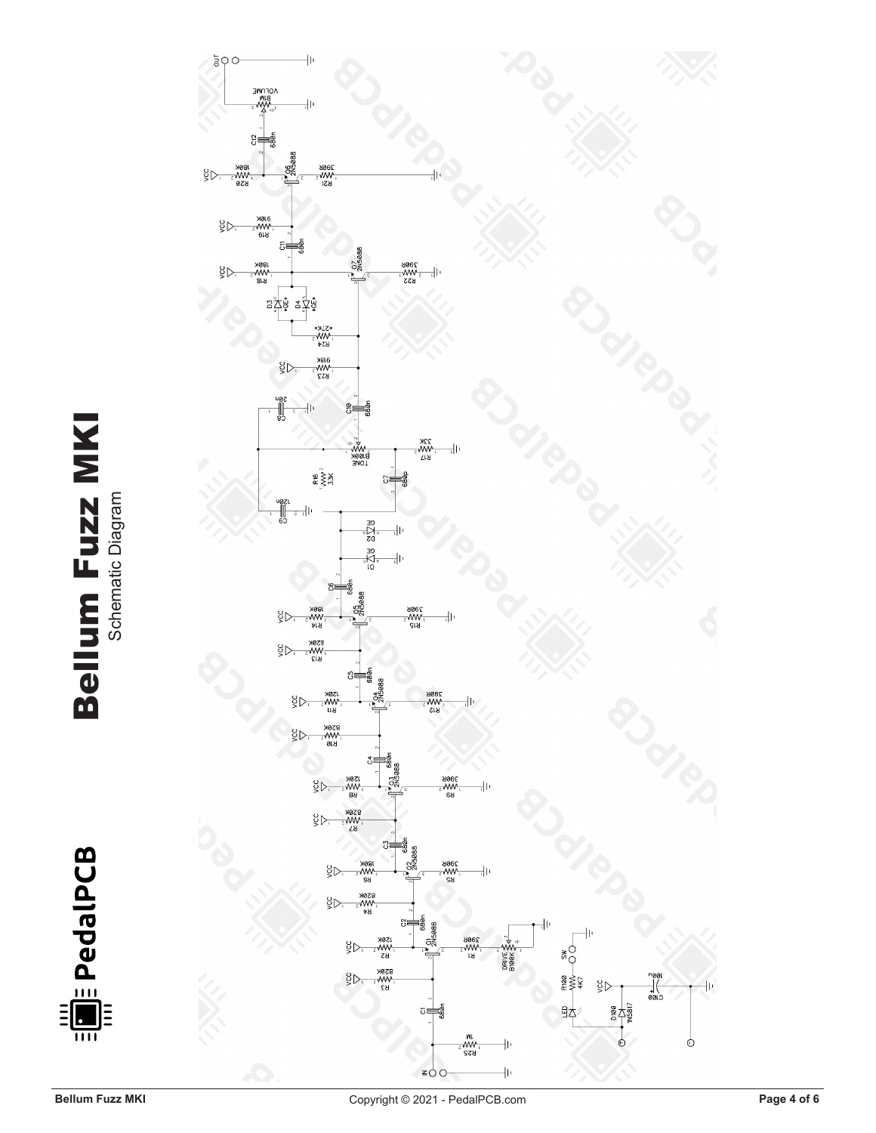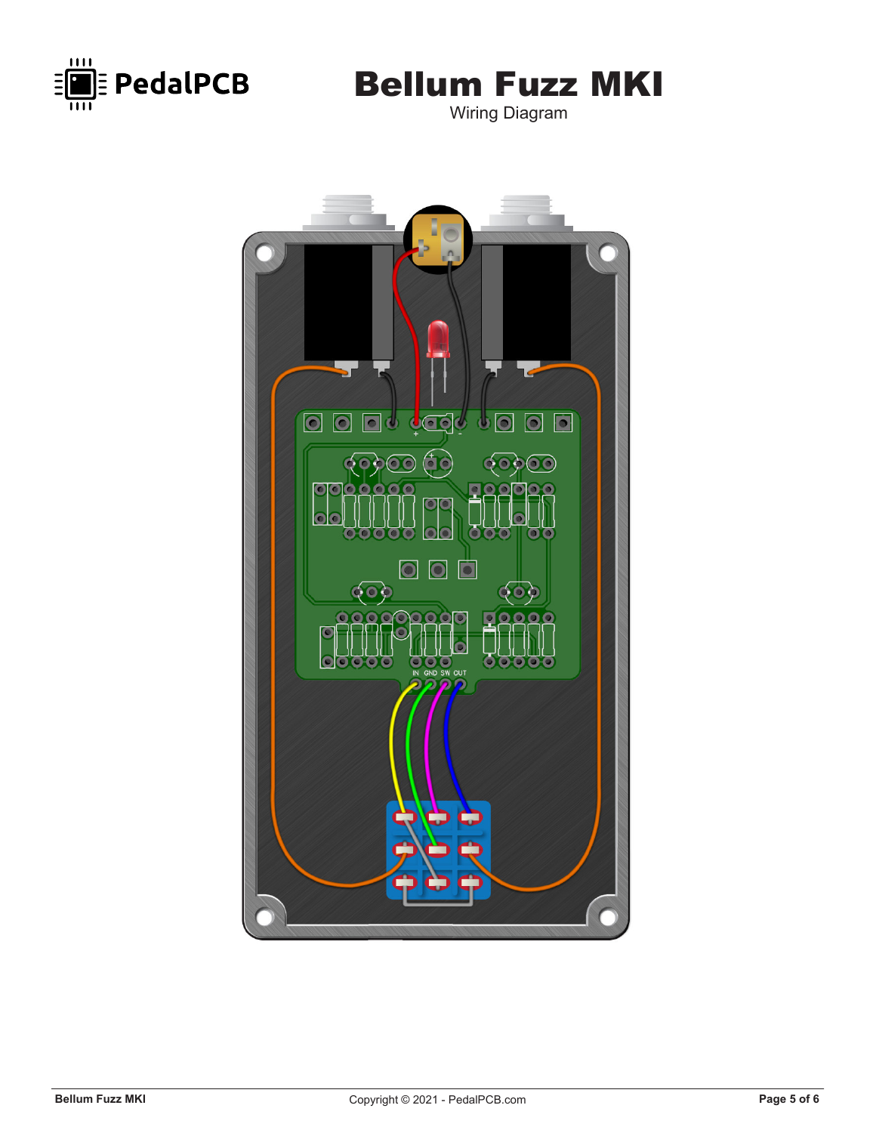

Wiring Diagram